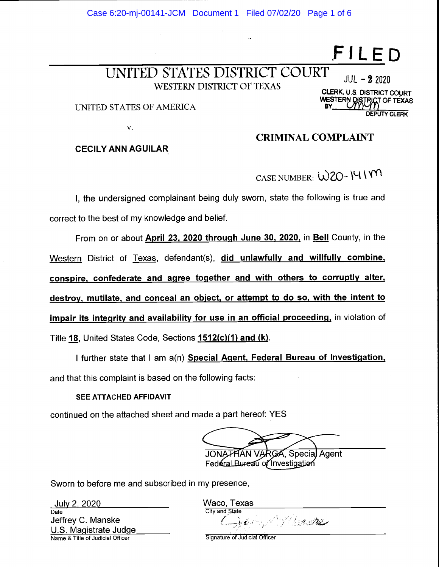Case 6:20-mj-00141-JCM Document 1 Filed 07/02/20 Page 1 of 6

# UNITED STATES DISTRICT COURT WESTERN DISTRICT OF TEXAS

UNITED STATES OF AMERICA

V.

## CECILY ANN AGUILAR

### CRIMINAL COMPLAINT

CASE NUMBER:  $W20 - 141$  M

I, the undersigned complainant being duly sworn, state the following is true and correct to the best of my knowledge and belief.

From on or about April 23, 2020 through June 30, 2020, in Bell County, in the Western District of Texas, defendant(s), did unlawfully and willfully combine, conspire, confederate and agree together and with others to corruptly alter, destroy, mutilate, and conceal an object, or attempt to do so, with the intent to impair its integrity and availability for use in an official proceeding, in violation of Title 18, United States Code, Sections 1512(c)(1) and (k).

I further state that I am a(n) Special Agent, Federal Bureau of Investigation, and that this complaint is based on the following facts:

#### SEE ATTACHED AFFIDAVIT

continued on the attached sheet and made a part hereof: YES

GA, Special Agent Federal Bureau of Investigation

Sworn to before me and subscribed in my presence,

July 2, 2020<br>
Date Waco, Texas U.S. Magistrate Judge Name & Title of Judicial Officer Signature of Judicial Officer

**City and State** Jeffrey C. Manske  $\bigcup_{x} \mathcal{U}_x$  is  $\bigcup_{x} \mathcal{U}_x$ 

 $JUL - 22020$ **CLERK, U.S. DISTRICT COURT** WESTERN DISTRICT OF TÉXAS DEPUTY CLERK

FILE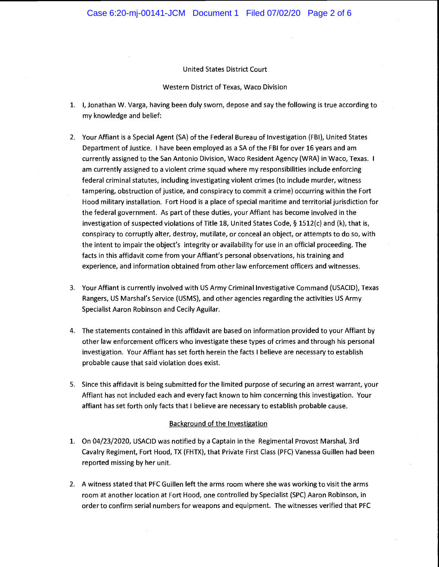#### United States District Court

#### Western District of Texas, Waco Division

- 1. I, Jonathan W. Varga, having been duly sworn, depose and say the following is true according to my knowledge and belief:
- 2. Your Affiant is a Special Agent (SA) of the Federal Bureau of Investigation (FBI), United States Department of Justice. I have been employed as a SA of the FBI for over 16 years and am currently assigned to the San Antonio Division, Waco Resident Agency (WRA) in Waco, Texas. I am currently assigned to a violent crime squad where my responsibilities include enforcing federal criminal statutes, including investigating violent crimes (to include murder, witness tampering, obstruction of justice, and conspiracy to commit a crime) occurring within the Fort Hood military installation. Fort Hood is a place of special maritime and territorial jurisdiction for the federal government. As part of these duties, your Affiant has become involved in the investigation of suspected violations of Title 18, United States Code, § 1512(c) and (k), that is, conspiracy to corruptly alter, destroy, mutilate, or conceal an object, or attempts to do so, with the intent to impair the object's integrity or availability for use in an official proceeding. The facts in this affidavit come from your Affiant's personal observations, his training and experience, and information obtained from other law enforcement officers and witnesses.
- 3. Your Affiant is currently involved with US Army Criminal Investigative Command (USACID), Texas Rangers, US Marshal's Service (USMS), and other agencies regarding the activities US Army Specialist Aaron Robinson and Cecily Aguilar.
- 4. The statements contained in this affidavit are based on information provided to your Affiant by other law enforcement officers who investigate these types of crimes and through his personal investigation. Your Affiant has set forth herein the facts I believe are necessary to establish probable cause that said violation does exist.
- 5. Since this affidavit is being submitted for the limited purpose of securing an arrest warrant, your Affiant has not included each and every fact known to him concerning this investigation. Your affiant has set forth only facts that I believe are necessary to establish probable cause.

#### Background of the Investigation

- 1. On 04/23/2020, USACID was notified by a Captain in the Regimental Provost Marshal, 3rd Cavalry Regiment, Fort Hood, TX (FHTX), that Private First Class (PFC) Vanessa Guillen had been reported missing by her unit.
- 2. A witness stated that PFC Guillen left the arms room where she was working to visit the arms room at another location at Fort Hood, one controlled by Specialist (SPC) Aaron Robinson, in order to confirm serial numbers for weapons and equipment. The witnesses verified that PFC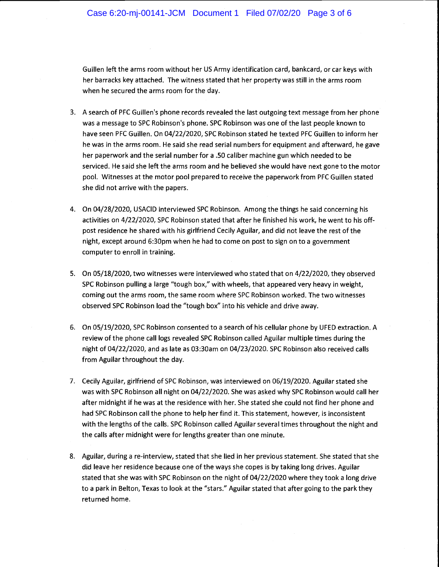Guillen left the arms room without her US Army identification card, bankcard, or car keys with her barracks key attached. The witness stated that her property was still in the arms room when he secured the arms room for the day.

- 3. A search of PFC Guillen's phone records revealed the last outgoing text message from her phone was a message to SPC Robinson's phone. SPC Robinson was one of the last people known to have seen PFC Guillen. On 04/22/2020, SPC Robinson stated he texted PFC Guillen to inform her he was in the arms room. He said she read serial numbers for equipment and afterward, he gave her paperwork and the serial number for a .50 caliber machine gun which needed to be serviced. He said she left the arms room and he believed she would have next gone to the motor pooi. Witnesses at the motor pooi prepared to receive the paperwork from PFC Guillen stated she did not arrive with the papers.
- 4. On 04/28/2020, USACID interviewed SPC Robinson. Among the things he said concerning his activities on 4/22/2020, SPC Robinson stated that after he finished his work, he went to his offpost residence he shared with his girlfriend Cecily Aguilar, and did not leave the rest of the night, except around 6:30pm when he had to come on post to sign on to a government computer to enroll in training.
- 5. On 05/18/2020, two witnesses were interviewed who stated that on 4/22/2020, they observed SPC Robinson pulling a large "tough box," with wheels, that appeared very heavy in weight, coming out the arms room, the same room where SPC Robinson worked. The two witnesses observed SPC Robinson load the "tough box" into his vehicle and drive away.
- 6. On 05/19/2020, SPC Robinson consented to a search of his cellular phone by UFED extraction. A review of the phone call logs revealed SPC Robinson called Aguilar multiple times during the night of 04/22/2020, and as late as 03:3Oam on 04/23/2020. SPC Robinson also received calls from Aguilar throughout the day.
- 7. Cecily Aguilar, girlfriend of SPC Robinson, was interviewed on 06/19/2020. Aguilar stated she was with SPC Robinson all night on 04/22/2020. She was asked why SPC Robinson would call her after midnight if he was at the residence with her. She stated she could not find her phone and had SPC Robinson call the phone to help her find it. This statement, however, is inconsistent with the lengths of the calls. SPC Robinson called Aguilar several times throughout the night and the calls after midnight were for lengths greater than one minute.
- 8. Aguilar, during a re-interview, stated that she lied in her previous statement. She stated that she did leave her residence because one of the ways she copes is by taking long drives. Aguilar stated that she was with SPC Robinson on the night of 04/22/2020 where they took a long drive to a park in Belton, Texas to look at the "stars." Aguilar stated that after going to the park they returned home.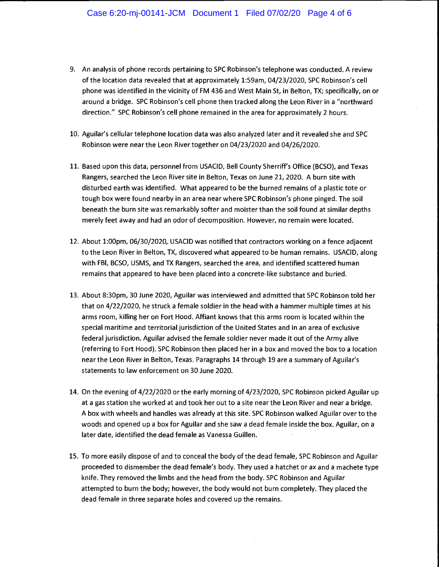- 9. An analysis of phone records pertaining to SPC Robinson's telephone was conducted. A review of the location data revealed that at approximately 1:59am, 04/23/2020, SPC Robinson's cell phone was identified in the vicinity of FM 436 and West Main St, in Belton, TX; specifically, on or around a bridge. SPC Robinson's cell phone then tracked along the Leon River in a "northward direction." SPC Robinson's cell phone remained in the area for approximately 2 hours.
- 10. Aguilar's cellular telephone location data was also analyzed later and it revealed she and SPC Robinson were near the Leon River together on 04/23/2020 and 04/26/2020.
- 11. Based upon this data, personnel from USACID, Bell County Sherriff's Office (BCSO), and Texas Rangers, searched the Leon River site in Belton, Texas on June 21, 2020. A burn site with disturbed earth was identified. What appeared to be the burned remains of a plastic tote or tough box were found nearby in an area near where SPC Robinson's phone pinged. The soil beneath the burn site was remarkably softer and moister than the soil found at similar depths merely feet away and had an odor of decomposition. However, no remain were located.
- 12. About 1:00pm, 06/30/2020, USACID was notified that contractors working on a fence adjacent to the Leon River in Belton, TX, discovered what appeared to be human remains. USACID, along with FBI, BCSO, USMS, and TX Rangers, searched the area, and identified scattered human remains that appeared to have been placed into a concrete-like substance and buried.
- 13. About 8:30pm, 30 June 2020, Aguilar was interviewed and admitted that SPC Robinson told her that on 4/22/2020, he struck a female soldier in the head with a hammer multiple times at his arms room, killing her on Fort Hood. Affiant knows that this arms room is located within the special maritime and territorial jurisdiction of the United States and in an area of exclusive federal jurisdiction. Aguilar advised the female soldier never made it out of the Army alive (referring to Fort Hood). SPC Robinson then placed her in a box and moved the box to a location near the Leon River in Belton, Texas. Paragraphs 14 through 19 are a summary of Aguilar's statements to law enforcement on 30 June 2020.
- 14. On the evening of 4/22/2020 or the early morning of 4/23/2020, SPC Robinson picked Aguilar up at a gas station she worked at and took her out to a site near the Leon River and near a bridge. A box with wheels and handles was already at this site. SPC Robinson walked Aguilar over to the woods and opened up a box for Aguilar and she saw a dead female inside the box. Aguilar, on a later date, identified the dead female as Vanessa Guillen.
- 15. To more easily dispose of and to conceal the body of the dead female, SPC Robinson and Aguilar proceeded to dismember the dead female's body. They used a hatchet or ax and a machete type knife. They removed the limbs and the head from the body. SPC Robinson and Aguilar attempted to burn the body; however, the body would not burn completely. They placed the dead female in three separate holes and covered up the remains.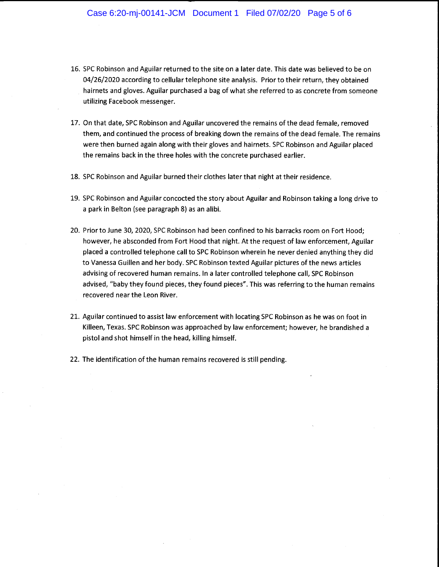- 16. SPC Robinson and Aguilar returned to the site on a later date. This date was believed to be on 04/26/2020 according to cellular telephone site analysis. Prior to their return, they obtained hairnets and gloves. Aguilar purchased a bag of what she referred to as concrete from someone utilizing Facebook messenger.
- 17. On that date, SPC Robinson and Aguilar uncovered the remains of the dead female, removed them, and continued the process of breaking down the remains of the dead female. The remains were then burned again along with their gloves and hairnets. SPC Robinson and Aguilar placed the remains back in the three holes with the concrete purchased earlier.
- 18. SPC Robinson and Aguilar burned their clothes later that night at their residence.
- 19. SPC Robinson and Aguilar concocted the story about Aguilar and Robinson taking a long drive to a park in Belton (see paragraph 8) as an alibi.
- 20. Prior to June 30, 2020, SPC Robinson had been confined to his barracks room on Fort Hood; however, he absconded from Fort Hood that night. At the request of law enforcement, Aguilar placed a controlled telephone call to SPC Robinson wherein he never denied anything they did to Vanessa Guillen and her body. SPC Robinson texted Aguilar pictures of the news articles advising of recovered human remains. In a later controlled telephone call, SPC Robinson advised, "baby they found pieces, they found pieces". This was referring to the human remains recovered near the Leon River.
- 21. Aguilar continued to assist law enforcement with locating SPC Robinson as he was on foot in Killeen, Texas. SPC Robinson was approached by law enforcement; however, he brandished a pistol and shot himself in the head, killing himself.
- 22. The identification of the human remains recovered is still pending.